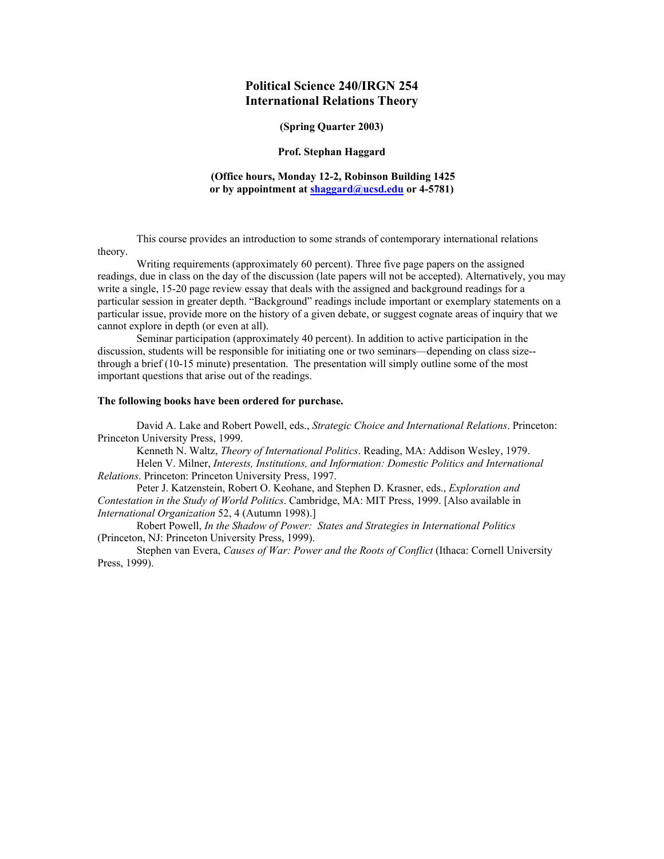# **Political Science 240/IRGN 254 International Relations Theory**

#### **(Spring Quarter 2003)**

#### **Prof. Stephan Haggard**

#### **(Office hours, Monday 12-2, Robinson Building 1425 or by appointment at shaggard@ucsd.edu or 4-5781)**

This course provides an introduction to some strands of contemporary international relations theory.

Writing requirements (approximately 60 percent). Three five page papers on the assigned readings, due in class on the day of the discussion (late papers will not be accepted). Alternatively, you may write a single, 15-20 page review essay that deals with the assigned and background readings for a particular session in greater depth. "Background" readings include important or exemplary statements on a particular issue, provide more on the history of a given debate, or suggest cognate areas of inquiry that we cannot explore in depth (or even at all).

Seminar participation (approximately 40 percent). In addition to active participation in the discussion, students will be responsible for initiating one or two seminars—depending on class size- through a brief (10-15 minute) presentation. The presentation will simply outline some of the most important questions that arise out of the readings.

# **The following books have been ordered for purchase.**

David A. Lake and Robert Powell, eds., *Strategic Choice and International Relations*. Princeton: Princeton University Press, 1999.

Kenneth N. Waltz, *Theory of International Politics*. Reading, MA: Addison Wesley, 1979.

Helen V. Milner, *Interests, Institutions, and Information: Domestic Politics and International Relations*. Princeton: Princeton University Press, 1997.

Peter J. Katzenstein, Robert O. Keohane, and Stephen D. Krasner, eds., *Exploration and Contestation in the Study of World Politics*. Cambridge, MA: MIT Press, 1999. [Also available in *International Organization* 52, 4 (Autumn 1998).]

Robert Powell, *In the Shadow of Power: States and Strategies in International Politics* (Princeton, NJ: Princeton University Press, 1999).

Stephen van Evera, *Causes of War: Power and the Roots of Conflict* (Ithaca: Cornell University Press, 1999).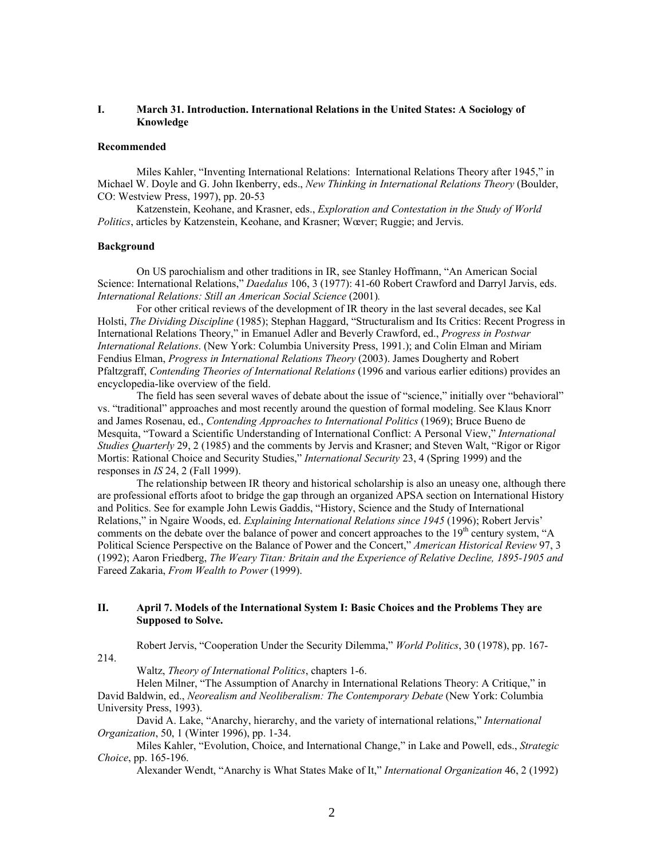# **I. March 31. Introduction. International Relations in the United States: A Sociology of Knowledge**

#### **Recommended**

Miles Kahler, "Inventing International Relations: International Relations Theory after 1945," in Michael W. Doyle and G. John Ikenberry, eds., *New Thinking in International Relations Theory* (Boulder, CO: Westview Press, 1997), pp. 20-53

Katzenstein, Keohane, and Krasner, eds., *Exploration and Contestation in the Study of World Politics*, articles by Katzenstein, Keohane, and Krasner; Wœver; Ruggie; and Jervis.

#### **Background**

On US parochialism and other traditions in IR, see Stanley Hoffmann, "An American Social Science: International Relations," *Daedalus* 106, 3 (1977): 41-60 Robert Crawford and Darryl Jarvis, eds. *International Relations: Still an American Social Science* (2001)*.* 

For other critical reviews of the development of IR theory in the last several decades, see Kal Holsti, *The Dividing Discipline* (1985); Stephan Haggard, "Structuralism and Its Critics: Recent Progress in International Relations Theory," in Emanuel Adler and Beverly Crawford, ed., *Progress in Postwar International Relations*. (New York: Columbia University Press, 1991.); and Colin Elman and Miriam Fendius Elman, *Progress in International Relations Theory* (2003). James Dougherty and Robert Pfaltzgraff, *Contending Theories of International Relations* (1996 and various earlier editions) provides an encyclopedia-like overview of the field.

The field has seen several waves of debate about the issue of "science," initially over "behavioral" vs. "traditional" approaches and most recently around the question of formal modeling. See Klaus Knorr and James Rosenau, ed., *Contending Approaches to International Politics* (1969); Bruce Bueno de Mesquita, "Toward a Scientific Understanding of International Conflict: A Personal View," *International Studies Quarterly* 29, 2 (1985) and the comments by Jervis and Krasner; and Steven Walt, "Rigor or Rigor Mortis: Rational Choice and Security Studies," *International Security* 23, 4 (Spring 1999) and the responses in *IS* 24, 2 (Fall 1999).

The relationship between IR theory and historical scholarship is also an uneasy one, although there are professional efforts afoot to bridge the gap through an organized APSA section on International History and Politics. See for example John Lewis Gaddis, "History, Science and the Study of International Relations," in Ngaire Woods, ed. *Explaining International Relations since 1945* (1996); Robert Jervis' comments on the debate over the balance of power and concert approaches to the 19<sup>th</sup> century system, "A Political Science Perspective on the Balance of Power and the Concert," *American Historical Review* 97, 3 (1992); Aaron Friedberg, *The Weary Titan: Britain and the Experience of Relative Decline, 1895-1905 and*  Fareed Zakaria, *From Wealth to Power* (1999).

# **II. April 7. Models of the International System I: Basic Choices and the Problems They are Supposed to Solve.**

Robert Jervis, "Cooperation Under the Security Dilemma," *World Politics*, 30 (1978), pp. 167- 214.

Waltz, *Theory of International Politics*, chapters 1-6.

Helen Milner, "The Assumption of Anarchy in International Relations Theory: A Critique," in David Baldwin, ed., *Neorealism and Neoliberalism: The Contemporary Debate* (New York: Columbia University Press, 1993).

David A. Lake, "Anarchy, hierarchy, and the variety of international relations," *International Organization*, 50, 1 (Winter 1996), pp. 1-34.

Miles Kahler, "Evolution, Choice, and International Change," in Lake and Powell, eds., *Strategic Choice*, pp. 165-196.

Alexander Wendt, "Anarchy is What States Make of It," *International Organization* 46, 2 (1992)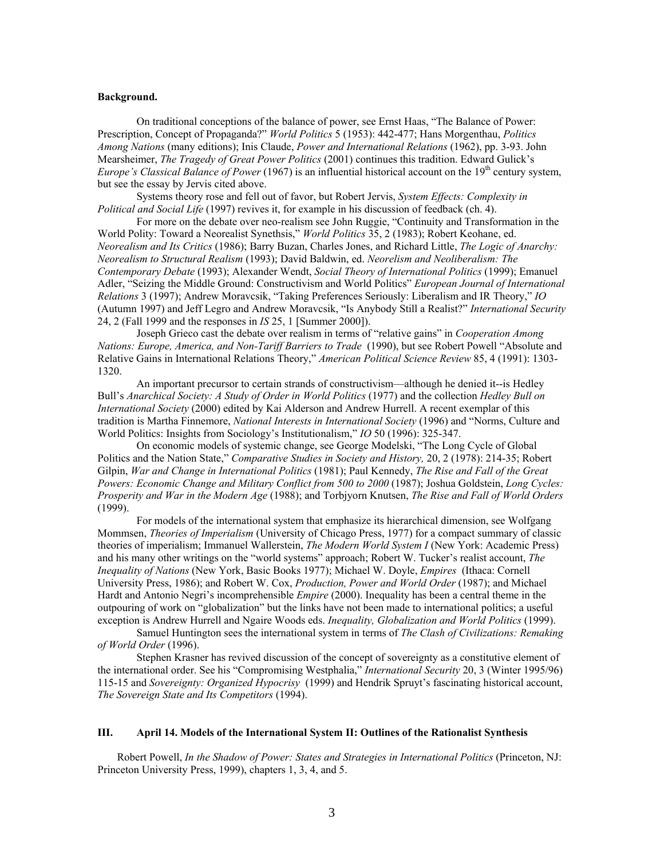#### **Background.**

On traditional conceptions of the balance of power, see Ernst Haas, "The Balance of Power: Prescription, Concept of Propaganda?" *World Politics* 5 (1953): 442-477; Hans Morgenthau, *Politics Among Nations* (many editions); Inis Claude, *Power and International Relations* (1962), pp. 3-93. John Mearsheimer, *The Tragedy of Great Power Politics* (2001) continues this tradition. Edward Gulick's *Europe's Classical Balance of Power* (1967) is an influential historical account on the 19<sup>th</sup> century system. but see the essay by Jervis cited above.

Systems theory rose and fell out of favor, but Robert Jervis, *System Effects: Complexity in Political and Social Life* (1997) revives it, for example in his discussion of feedback (ch. 4).

For more on the debate over neo-realism see John Ruggie, "Continuity and Transformation in the World Polity: Toward a Neorealist Synethsis," *World Politics* 35, 2 (1983); Robert Keohane, ed. *Neorealism and Its Critics* (1986); Barry Buzan, Charles Jones, and Richard Little, *The Logic of Anarchy: Neorealism to Structural Realism* (1993); David Baldwin, ed. *Neorelism and Neoliberalism: The Contemporary Debate* (1993); Alexander Wendt, *Social Theory of International Politics* (1999); Emanuel Adler, "Seizing the Middle Ground: Constructivism and World Politics" *European Journal of International Relations* 3 (1997); Andrew Moravcsik, "Taking Preferences Seriously: Liberalism and IR Theory," *IO*  (Autumn 1997) and Jeff Legro and Andrew Moravcsik, "Is Anybody Still a Realist?" *International Security*  24, 2 (Fall 1999 and the responses in *IS* 25, 1 [Summer 2000]).

Joseph Grieco cast the debate over realism in terms of "relative gains" in *Cooperation Among Nations: Europe, America, and Non-Tariff Barriers to Trade* (1990), but see Robert Powell "Absolute and Relative Gains in International Relations Theory," *American Political Science Review* 85, 4 (1991): 1303- 1320.

An important precursor to certain strands of constructivism—although he denied it--is Hedley Bull's *Anarchical Society: A Study of Order in World Politics* (1977) and the collection *Hedley Bull on International Society* (2000) edited by Kai Alderson and Andrew Hurrell. A recent exemplar of this tradition is Martha Finnemore, *National Interests in International Society* (1996) and "Norms, Culture and World Politics: Insights from Sociology's Institutionalism," *IO* 50 (1996): 325-347.

On economic models of systemic change, see George Modelski, "The Long Cycle of Global Politics and the Nation State," *Comparative Studies in Society and History,* 20, 2 (1978): 214-35; Robert Gilpin, *War and Change in International Politics* (1981); Paul Kennedy, *The Rise and Fall of the Great Powers: Economic Change and Military Conflict from 500 to 2000* (1987); Joshua Goldstein, *Long Cycles: Prosperity and War in the Modern Age* (1988); and Torbjyorn Knutsen, *The Rise and Fall of World Orders*  $(1999)$ .

For models of the international system that emphasize its hierarchical dimension, see Wolfgang Mommsen, *Theories of Imperialism* (University of Chicago Press, 1977) for a compact summary of classic theories of imperialism; Immanuel Wallerstein, *The Modern World System I* (New York: Academic Press) and his many other writings on the "world systems" approach; Robert W. Tucker's realist account, *The Inequality of Nations* (New York, Basic Books 1977); Michael W. Doyle, *Empires* (Ithaca: Cornell University Press, 1986); and Robert W. Cox, *Production, Power and World Order* (1987); and Michael Hardt and Antonio Negri's incomprehensible *Empire* (2000). Inequality has been a central theme in the outpouring of work on "globalization" but the links have not been made to international politics; a useful exception is Andrew Hurrell and Ngaire Woods eds. *Inequality, Globalization and World Politics* (1999).

Samuel Huntington sees the international system in terms of *The Clash of Civilizations: Remaking of World Order* (1996).

Stephen Krasner has revived discussion of the concept of sovereignty as a constitutive element of the international order. See his "Compromising Westphalia," *International Security* 20, 3 (Winter 1995/96) 115-15 and *Sovereignty: Organized Hypocrisy* (1999) and Hendrik Spruyt's fascinating historical account, *The Sovereign State and Its Competitors* (1994).

#### **III. April 14. Models of the International System II: Outlines of the Rationalist Synthesis**

Robert Powell, *In the Shadow of Power: States and Strategies in International Politics* (Princeton, NJ: Princeton University Press, 1999), chapters 1, 3, 4, and 5.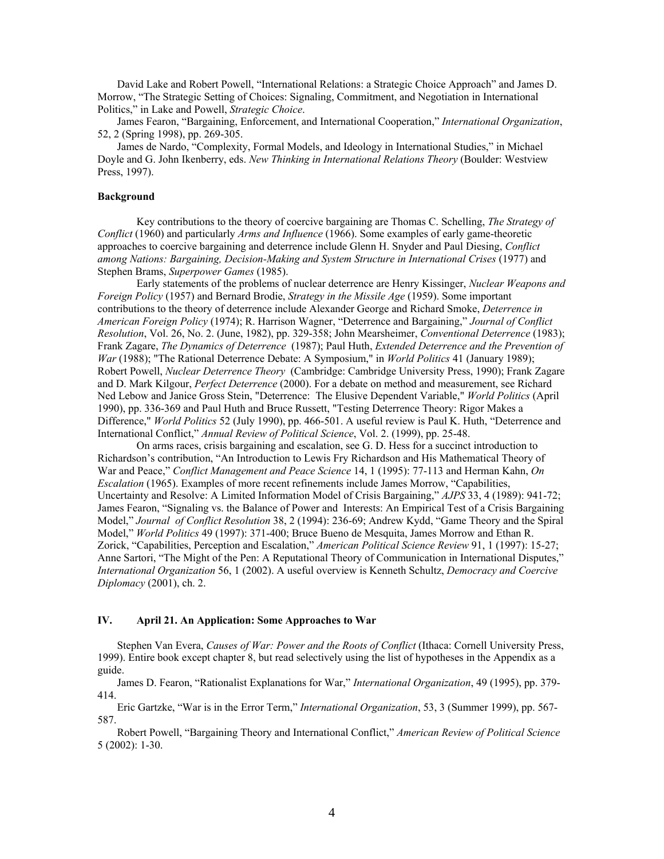David Lake and Robert Powell, "International Relations: a Strategic Choice Approach" and James D. Morrow, "The Strategic Setting of Choices: Signaling, Commitment, and Negotiation in International Politics," in Lake and Powell, *Strategic Choice*.

James Fearon, "Bargaining, Enforcement, and International Cooperation," *International Organization*, 52, 2 (Spring 1998), pp. 269-305.

James de Nardo, "Complexity, Formal Models, and Ideology in International Studies," in Michael Doyle and G. John Ikenberry, eds. *New Thinking in International Relations Theory* (Boulder: Westview Press, 1997).

# **Background**

Key contributions to the theory of coercive bargaining are Thomas C. Schelling, *The Strategy of Conflict* (1960) and particularly *Arms and Influence* (1966). Some examples of early game-theoretic approaches to coercive bargaining and deterrence include Glenn H. Snyder and Paul Diesing, *Conflict among Nations: Bargaining, Decision-Making and System Structure in International Crises* (1977) and Stephen Brams, *Superpower Games* (1985).

Early statements of the problems of nuclear deterrence are Henry Kissinger, *Nuclear Weapons and Foreign Policy* (1957) and Bernard Brodie, *Strategy in the Missile Age* (1959). Some important contributions to the theory of deterrence include Alexander George and Richard Smoke, *Deterrence in American Foreign Policy* (1974); R. Harrison Wagner, "Deterrence and Bargaining," *Journal of Conflict Resolution*, Vol. 26, No. 2. (June, 1982), pp. 329-358; John Mearsheimer, *Conventional Deterrence* (1983); Frank Zagare, *The Dynamics of Deterrence* (1987); Paul Huth, *Extended Deterrence and the Prevention of War* (1988); "The Rational Deterrence Debate: A Symposium," in *World Politics* 41 (January 1989); Robert Powell, *Nuclear Deterrence Theory* (Cambridge: Cambridge University Press, 1990); Frank Zagare and D. Mark Kilgour, *Perfect Deterrence* (2000). For a debate on method and measurement, see Richard Ned Lebow and Janice Gross Stein, "Deterrence: The Elusive Dependent Variable," *World Politics* (April 1990), pp. 336-369 and Paul Huth and Bruce Russett, "Testing Deterrence Theory: Rigor Makes a Difference," *World Politics* 52 (July 1990), pp. 466-501. A useful review is Paul K. Huth, "Deterrence and International Conflict," *Annual Review of Political Science*, Vol. 2. (1999), pp. 25-48.

On arms races, crisis bargaining and escalation, see G. D. Hess for a succinct introduction to Richardson's contribution, "An Introduction to Lewis Fry Richardson and His Mathematical Theory of War and Peace," *Conflict Management and Peace Science* 14, 1 (1995): 77-113 and Herman Kahn, *On Escalation* (1965). Examples of more recent refinements include James Morrow, "Capabilities, Uncertainty and Resolve: A Limited Information Model of Crisis Bargaining," *AJPS* 33, 4 (1989): 941-72; James Fearon, "Signaling vs. the Balance of Power and Interests: An Empirical Test of a Crisis Bargaining Model," *Journal of Conflict Resolution* 38, 2 (1994): 236-69; Andrew Kydd, "Game Theory and the Spiral Model," *World Politics* 49 (1997): 371-400; Bruce Bueno de Mesquita, James Morrow and Ethan R. Zorick, "Capabilities, Perception and Escalation," *American Political Science Review* 91, 1 (1997): 15-27; Anne Sartori, "The Might of the Pen: A Reputational Theory of Communication in International Disputes," *International Organization* 56, 1 (2002). A useful overview is Kenneth Schultz, *Democracy and Coercive Diplomacy* (2001), ch. 2.

### **IV. April 21. An Application: Some Approaches to War**

Stephen Van Evera, *Causes of War: Power and the Roots of Conflict* (Ithaca: Cornell University Press, 1999). Entire book except chapter 8, but read selectively using the list of hypotheses in the Appendix as a guide.

James D. Fearon, "Rationalist Explanations for War," *International Organization*, 49 (1995), pp. 379- 414.

Eric Gartzke, "War is in the Error Term," *International Organization*, 53, 3 (Summer 1999), pp. 567- 587.

Robert Powell, "Bargaining Theory and International Conflict," *American Review of Political Science* 5 (2002): 1-30.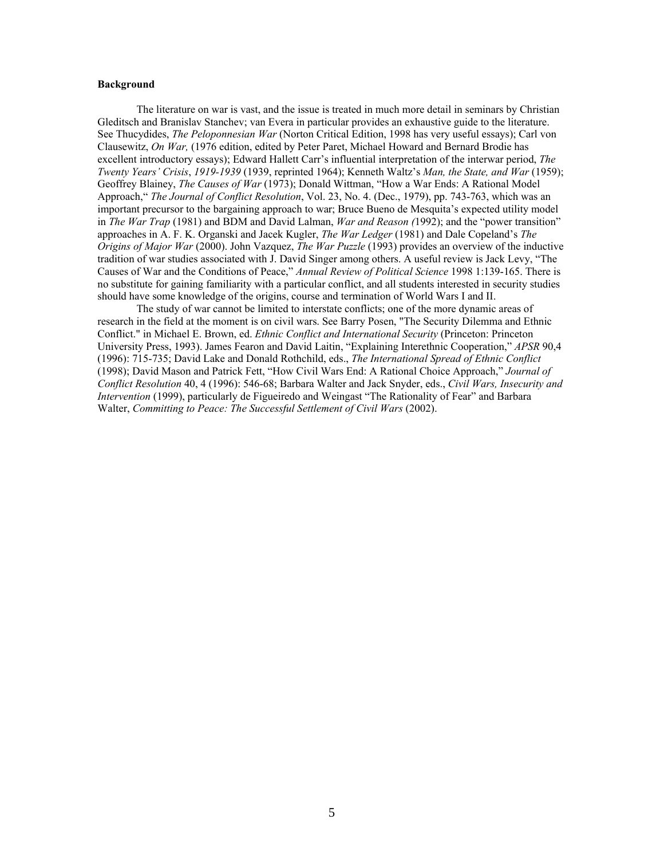# **Background**

The literature on war is vast, and the issue is treated in much more detail in seminars by Christian Gleditsch and Branislav Stanchev; van Evera in particular provides an exhaustive guide to the literature. See Thucydides, *The Peloponnesian War* (Norton Critical Edition, 1998 has very useful essays); Carl von Clausewitz, *On War,* (1976 edition, edited by Peter Paret, Michael Howard and Bernard Brodie has excellent introductory essays); Edward Hallett Carr's influential interpretation of the interwar period, *The Twenty Years' Crisis*, *1919-1939* (1939, reprinted 1964); Kenneth Waltz's *Man, the State, and War* (1959); Geoffrey Blainey, *The Causes of War* (1973); Donald Wittman, "How a War Ends: A Rational Model Approach," *The Journal of Conflict Resolution*, Vol. 23, No. 4. (Dec., 1979), pp. 743-763, which was an important precursor to the bargaining approach to war; Bruce Bueno de Mesquita's expected utility model in *The War Trap* (1981) and BDM and David Lalman, *War and Reason (*1992); and the "power transition" approaches in A. F. K. Organski and Jacek Kugler, *The War Ledger* (1981) and Dale Copeland's *The Origins of Major War* (2000). John Vazquez, *The War Puzzle* (1993) provides an overview of the inductive tradition of war studies associated with J. David Singer among others. A useful review is Jack Levy, "The Causes of War and the Conditions of Peace," *Annual Review of Political Science* 1998 1:139-165. There is no substitute for gaining familiarity with a particular conflict, and all students interested in security studies should have some knowledge of the origins, course and termination of World Wars I and II.

The study of war cannot be limited to interstate conflicts; one of the more dynamic areas of research in the field at the moment is on civil wars. See Barry Posen, "The Security Dilemma and Ethnic Conflict." in Michael E. Brown, ed. *Ethnic Conflict and International Security* (Princeton: Princeton University Press, 1993). James Fearon and David Laitin, "Explaining Interethnic Cooperation," *APSR* 90,4 (1996): 715-735; David Lake and Donald Rothchild, eds., *The International Spread of Ethnic Conflict* (1998); David Mason and Patrick Fett, "How Civil Wars End: A Rational Choice Approach," *Journal of Conflict Resolution* 40, 4 (1996): 546-68; Barbara Walter and Jack Snyder, eds., *Civil Wars, Insecurity and Intervention* (1999), particularly de Figueiredo and Weingast "The Rationality of Fear" and Barbara Walter, *Committing to Peace: The Successful Settlement of Civil Wars* (2002).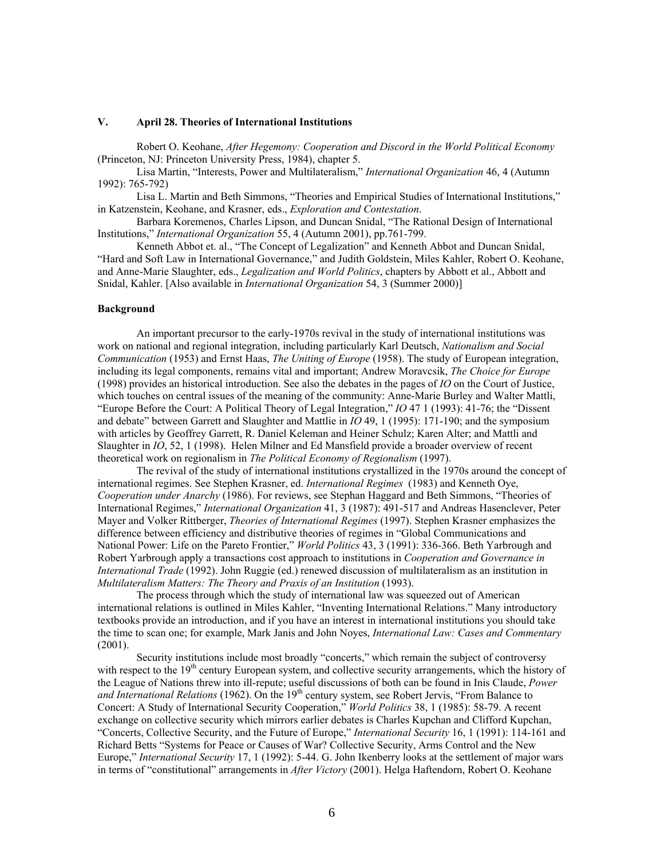# **V. April 28. Theories of International Institutions**

Robert O. Keohane, *After Hegemony: Cooperation and Discord in the World Political Economy* (Princeton, NJ: Princeton University Press, 1984), chapter 5.

Lisa Martin, "Interests, Power and Multilateralism," *International Organization* 46, 4 (Autumn 1992): 765-792)

Lisa L. Martin and Beth Simmons, "Theories and Empirical Studies of International Institutions," in Katzenstein, Keohane, and Krasner, eds., *Exploration and Contestation*.

Barbara Koremenos, Charles Lipson, and Duncan Snidal, "The Rational Design of International Institutions," *International Organization* 55, 4 (Autumn 2001), pp.761-799.

Kenneth Abbot et. al., "The Concept of Legalization" and Kenneth Abbot and Duncan Snidal, "Hard and Soft Law in International Governance," and Judith Goldstein, Miles Kahler, Robert O. Keohane, and Anne-Marie Slaughter, eds., *Legalization and World Politics*, chapters by Abbott et al., Abbott and Snidal, Kahler. [Also available in *International Organization* 54, 3 (Summer 2000)]

#### **Background**

An important precursor to the early-1970s revival in the study of international institutions was work on national and regional integration, including particularly Karl Deutsch, *Nationalism and Social Communication* (1953) and Ernst Haas, *The Uniting of Europe* (1958). The study of European integration, including its legal components, remains vital and important; Andrew Moravcsik, *The Choice for Europe*  (1998) provides an historical introduction. See also the debates in the pages of *IO* on the Court of Justice, which touches on central issues of the meaning of the community: Anne-Marie Burley and Walter Mattli, "Europe Before the Court: A Political Theory of Legal Integration," *IO* 47 1 (1993): 41-76; the "Dissent and debate" between Garrett and Slaughter and Mattlie in *IO* 49, 1 (1995): 171-190; and the symposium with articles by Geoffrey Garrett, R. Daniel Keleman and Heiner Schulz; Karen Alter; and Mattli and Slaughter in *IO*, 52, 1 (1998). Helen Milner and Ed Mansfield provide a broader overview of recent theoretical work on regionalism in *The Political Economy of Regionalism* (1997).

The revival of the study of international institutions crystallized in the 1970s around the concept of international regimes. See Stephen Krasner, ed. *International Regimes* (1983) and Kenneth Oye, *Cooperation under Anarchy* (1986). For reviews, see Stephan Haggard and Beth Simmons, "Theories of International Regimes," *International Organization* 41, 3 (1987): 491-517 and Andreas Hasenclever, Peter Mayer and Volker Rittberger, *Theories of International Regimes* (1997). Stephen Krasner emphasizes the difference between efficiency and distributive theories of regimes in "Global Communications and National Power: Life on the Pareto Frontier," *World Politics* 43, 3 (1991): 336-366. Beth Yarbrough and Robert Yarbrough apply a transactions cost approach to institutions in *Cooperation and Governance in International Trade* (1992). John Ruggie (ed.) renewed discussion of multilateralism as an institution in *Multilateralism Matters: The Theory and Praxis of an Institution* (1993).

The process through which the study of international law was squeezed out of American international relations is outlined in Miles Kahler, "Inventing International Relations." Many introductory textbooks provide an introduction, and if you have an interest in international institutions you should take the time to scan one; for example, Mark Janis and John Noyes, *International Law: Cases and Commentary* (2001).

Security institutions include most broadly "concerts," which remain the subject of controversy with respect to the  $19<sup>th</sup>$  century European system, and collective security arrangements, which the history of the League of Nations threw into ill-repute; useful discussions of both can be found in Inis Claude, *Power*  and International Relations (1962). On the 19<sup>th</sup> century system, see Robert Jervis, "From Balance to Concert: A Study of International Security Cooperation," *World Politics* 38, 1 (1985): 58-79. A recent exchange on collective security which mirrors earlier debates is Charles Kupchan and Clifford Kupchan, "Concerts, Collective Security, and the Future of Europe," *International Security* 16, 1 (1991): 114-161 and Richard Betts "Systems for Peace or Causes of War? Collective Security, Arms Control and the New Europe," *International Security* 17, 1 (1992): 5-44. G. John Ikenberry looks at the settlement of major wars in terms of "constitutional" arrangements in *After Victory* (2001). Helga Haftendorn, Robert O. Keohane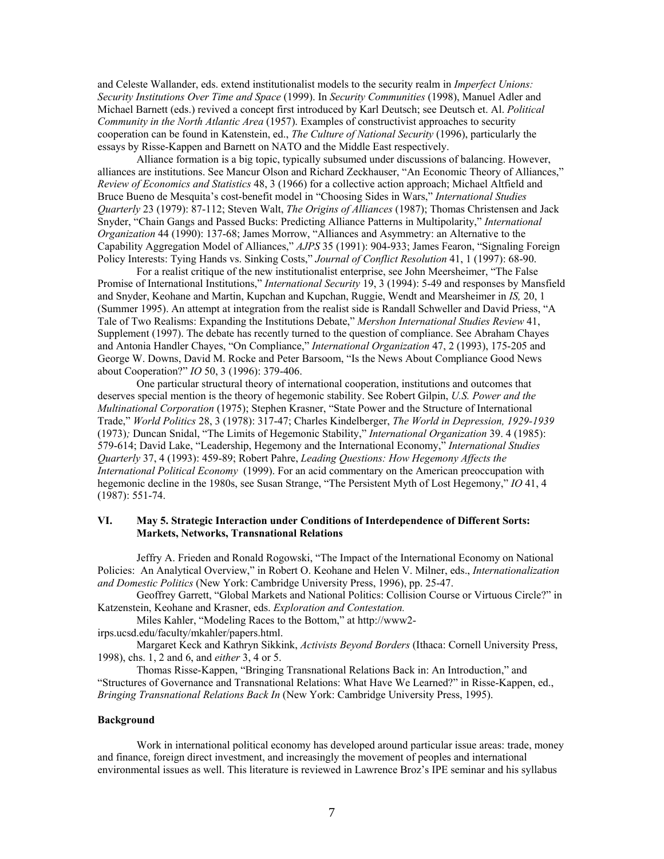and Celeste Wallander, eds. extend institutionalist models to the security realm in *Imperfect Unions: Security Institutions Over Time and Space* (1999). In *Security Communities* (1998), Manuel Adler and Michael Barnett (eds.) revived a concept first introduced by Karl Deutsch; see Deutsch et. Al. *Political Community in the North Atlantic Area* (1957). Examples of constructivist approaches to security cooperation can be found in Katenstein, ed., *The Culture of National Security* (1996), particularly the essays by Risse-Kappen and Barnett on NATO and the Middle East respectively.

Alliance formation is a big topic, typically subsumed under discussions of balancing. However, alliances are institutions. See Mancur Olson and Richard Zeckhauser, "An Economic Theory of Alliances," *Review of Economics and Statistics* 48, 3 (1966) for a collective action approach; Michael Altfield and Bruce Bueno de Mesquita's cost-benefit model in "Choosing Sides in Wars," *International Studies Quarterly* 23 (1979): 87-112; Steven Walt, *The Origins of Alliances* (1987); Thomas Christensen and Jack Snyder, "Chain Gangs and Passed Bucks: Predicting Alliance Patterns in Multipolarity," *International Organization* 44 (1990): 137-68; James Morrow, "Alliances and Asymmetry: an Alternative to the Capability Aggregation Model of Alliances," *AJPS* 35 (1991): 904-933; James Fearon, "Signaling Foreign Policy Interests: Tying Hands vs. Sinking Costs," *Journal of Conflict Resolution* 41, 1 (1997): 68-90.

For a realist critique of the new institutionalist enterprise, see John Meersheimer, "The False Promise of International Institutions," *International Security* 19, 3 (1994): 5-49 and responses by Mansfield and Snyder, Keohane and Martin, Kupchan and Kupchan, Ruggie, Wendt and Mearsheimer in *IS,* 20, 1 (Summer 1995). An attempt at integration from the realist side is Randall Schweller and David Priess, "A Tale of Two Realisms: Expanding the Institutions Debate," *Mershon International Studies Review* 41, Supplement (1997). The debate has recently turned to the question of compliance. See Abraham Chayes and Antonia Handler Chayes, "On Compliance," *International Organization* 47, 2 (1993), 175-205 and George W. Downs, David M. Rocke and Peter Barsoom, "Is the News About Compliance Good News about Cooperation?" *IO* 50, 3 (1996): 379-406.

One particular structural theory of international cooperation, institutions and outcomes that deserves special mention is the theory of hegemonic stability. See Robert Gilpin, *U.S. Power and the Multinational Corporation* (1975); Stephen Krasner, "State Power and the Structure of International Trade," *World Politics* 28, 3 (1978): 317-47; Charles Kindelberger, *The World in Depression, 1929-1939*  (1973)*;* Duncan Snidal, "The Limits of Hegemonic Stability," *International Organization* 39. 4 (1985): 579-614; David Lake, "Leadership, Hegemony and the International Economy," *International Studies Quarterly* 37, 4 (1993): 459-89; Robert Pahre, *Leading Questions: How Hegemony Affects the International Political Economy* (1999). For an acid commentary on the American preoccupation with hegemonic decline in the 1980s, see Susan Strange, "The Persistent Myth of Lost Hegemony," *IO* 41, 4 (1987): 551-74.

# **VI. May 5. Strategic Interaction under Conditions of Interdependence of Different Sorts: Markets, Networks, Transnational Relations**

Jeffry A. Frieden and Ronald Rogowski, "The Impact of the International Economy on National Policies: An Analytical Overview," in Robert O. Keohane and Helen V. Milner, eds., *Internationalization and Domestic Politics* (New York: Cambridge University Press, 1996), pp. 25-47.

Geoffrey Garrett, "Global Markets and National Politics: Collision Course or Virtuous Circle?" in Katzenstein, Keohane and Krasner, eds. *Exploration and Contestation.* 

Miles Kahler, "Modeling Races to the Bottom," at http://www2-

irps.ucsd.edu/faculty/mkahler/papers.html.

Margaret Keck and Kathryn Sikkink, *Activists Beyond Borders* (Ithaca: Cornell University Press, 1998), chs. 1, 2 and 6, and *either* 3, 4 or 5.

Thomas Risse-Kappen, "Bringing Transnational Relations Back in: An Introduction," and "Structures of Governance and Transnational Relations: What Have We Learned?" in Risse-Kappen, ed., *Bringing Transnational Relations Back In* (New York: Cambridge University Press, 1995).

#### **Background**

Work in international political economy has developed around particular issue areas: trade, money and finance, foreign direct investment, and increasingly the movement of peoples and international environmental issues as well. This literature is reviewed in Lawrence Broz's IPE seminar and his syllabus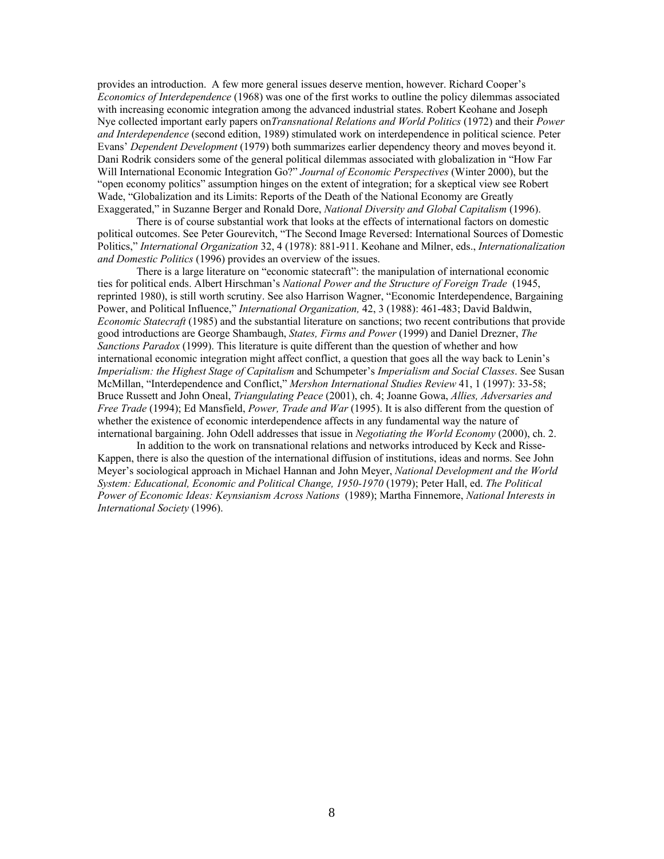provides an introduction. A few more general issues deserve mention, however. Richard Cooper's *Economics of Interdependence* (1968) was one of the first works to outline the policy dilemmas associated with increasing economic integration among the advanced industrial states. Robert Keohane and Joseph Nye collected important early papers on*Transnational Relations and World Politics* (1972) and their *Power and Interdependence* (second edition, 1989) stimulated work on interdependence in political science. Peter Evans' *Dependent Development* (1979) both summarizes earlier dependency theory and moves beyond it. Dani Rodrik considers some of the general political dilemmas associated with globalization in "How Far Will International Economic Integration Go?" *Journal of Economic Perspectives* (Winter 2000), but the "open economy politics" assumption hinges on the extent of integration; for a skeptical view see Robert Wade, "Globalization and its Limits: Reports of the Death of the National Economy are Greatly Exaggerated," in Suzanne Berger and Ronald Dore, *National Diversity and Global Capitalism* (1996).

There is of course substantial work that looks at the effects of international factors on domestic political outcomes. See Peter Gourevitch, "The Second Image Reversed: International Sources of Domestic Politics," *International Organization* 32, 4 (1978): 881-911. Keohane and Milner, eds., *Internationalization and Domestic Politics* (1996) provides an overview of the issues.

There is a large literature on "economic statecraft": the manipulation of international economic ties for political ends. Albert Hirschman's *National Power and the Structure of Foreign Trade* (1945, reprinted 1980), is still worth scrutiny. See also Harrison Wagner, "Economic Interdependence, Bargaining Power, and Political Influence," *International Organization,* 42, 3 (1988): 461-483; David Baldwin, *Economic Statecraft* (1985) and the substantial literature on sanctions; two recent contributions that provide good introductions are George Shambaugh, *States, Firms and Power* (1999) and Daniel Drezner, *The Sanctions Paradox* (1999). This literature is quite different than the question of whether and how international economic integration might affect conflict, a question that goes all the way back to Lenin's *Imperialism: the Highest Stage of Capitalism* and Schumpeter's *Imperialism and Social Classes*. See Susan McMillan, "Interdependence and Conflict," *Mershon International Studies Review* 41, 1 (1997): 33-58; Bruce Russett and John Oneal, *Triangulating Peace* (2001), ch. 4; Joanne Gowa, *Allies, Adversaries and Free Trade* (1994); Ed Mansfield, *Power, Trade and War* (1995). It is also different from the question of whether the existence of economic interdependence affects in any fundamental way the nature of international bargaining. John Odell addresses that issue in *Negotiating the World Economy* (2000), ch. 2.

In addition to the work on transnational relations and networks introduced by Keck and Risse-Kappen, there is also the question of the international diffusion of institutions, ideas and norms. See John Meyer's sociological approach in Michael Hannan and John Meyer, *National Development and the World System: Educational, Economic and Political Change, 1950-1970* (1979); Peter Hall, ed. *The Political Power of Economic Ideas: Keynsianism Across Nations* (1989); Martha Finnemore, *National Interests in International Society* (1996).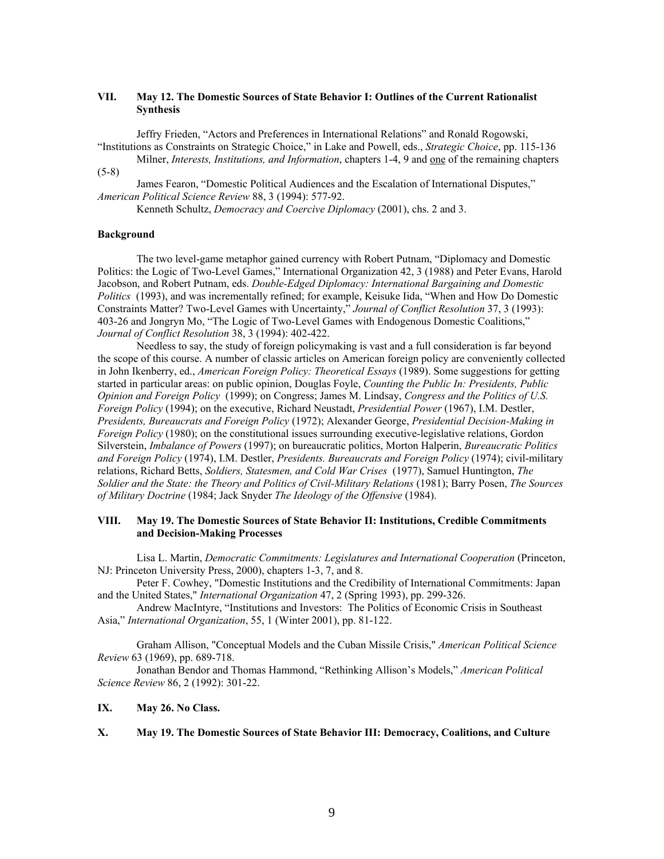# **VII. May 12. The Domestic Sources of State Behavior I: Outlines of the Current Rationalist Synthesis**

Jeffry Frieden, "Actors and Preferences in International Relations" and Ronald Rogowski, "Institutions as Constraints on Strategic Choice," in Lake and Powell, eds., *Strategic Choice*, pp. 115-136

Milner, *Interests, Institutions, and Information*, chapters 1-4, 9 and one of the remaining chapters (5-8)

James Fearon, "Domestic Political Audiences and the Escalation of International Disputes," *American Political Science Review* 88, 3 (1994): 577-92.

Kenneth Schultz, *Democracy and Coercive Diplomacy* (2001), chs. 2 and 3.

# **Background**

The two level-game metaphor gained currency with Robert Putnam, "Diplomacy and Domestic Politics: the Logic of Two-Level Games," International Organization 42, 3 (1988) and Peter Evans, Harold Jacobson, and Robert Putnam, eds. *Double-Edged Diplomacy: International Bargaining and Domestic Politics* (1993), and was incrementally refined; for example, Keisuke Iida, "When and How Do Domestic Constraints Matter? Two-Level Games with Uncertainty," *Journal of Conflict Resolution* 37, 3 (1993): 403-26 and Jongryn Mo, "The Logic of Two-Level Games with Endogenous Domestic Coalitions," *Journal of Conflict Resolution* 38, 3 (1994): 402-422.

Needless to say, the study of foreign policymaking is vast and a full consideration is far beyond the scope of this course. A number of classic articles on American foreign policy are conveniently collected in John Ikenberry, ed., *American Foreign Policy: Theoretical Essays* (1989). Some suggestions for getting started in particular areas: on public opinion, Douglas Foyle, *Counting the Public In: Presidents, Public Opinion and Foreign Policy* (1999); on Congress; James M. Lindsay, *Congress and the Politics of U.S. Foreign Policy* (1994); on the executive, Richard Neustadt, *Presidential Power* (1967), I.M. Destler, *Presidents, Bureaucrats and Foreign Policy* (1972); Alexander George, *Presidential Decision-Making in Foreign Policy* (1980); on the constitutional issues surrounding executive-legislative relations, Gordon Silverstein, *Imbalance of Powers* (1997); on bureaucratic politics, Morton Halperin, *Bureaucratic Politics and Foreign Policy* (1974), I.M. Destler, *Presidents. Bureaucrats and Foreign Policy* (1974); civil-military relations, Richard Betts, *Soldiers, Statesmen, and Cold War Crises* (1977), Samuel Huntington, *The Soldier and the State: the Theory and Politics of Civil-Military Relations* (1981); Barry Posen, *The Sources of Military Doctrine* (1984; Jack Snyder *The Ideology of the Offensive* (1984).

# **VIII. May 19. The Domestic Sources of State Behavior II: Institutions, Credible Commitments and Decision-Making Processes**

Lisa L. Martin, *Democratic Commitments: Legislatures and International Cooperation* (Princeton, NJ: Princeton University Press, 2000), chapters 1-3, 7, and 8.

Peter F. Cowhey, "Domestic Institutions and the Credibility of International Commitments: Japan and the United States," *International Organization* 47, 2 (Spring 1993), pp. 299-326.

Andrew MacIntyre, "Institutions and Investors: The Politics of Economic Crisis in Southeast Asia," *International Organization*, 55, 1 (Winter 2001), pp. 81-122.

Graham Allison, "Conceptual Models and the Cuban Missile Crisis," *American Political Science Review* 63 (1969), pp. 689-718.

Jonathan Bendor and Thomas Hammond, "Rethinking Allison's Models," *American Political Science Review* 86, 2 (1992): 301-22.

#### **IX. May 26. No Class.**

**X. May 19. The Domestic Sources of State Behavior III: Democracy, Coalitions, and Culture**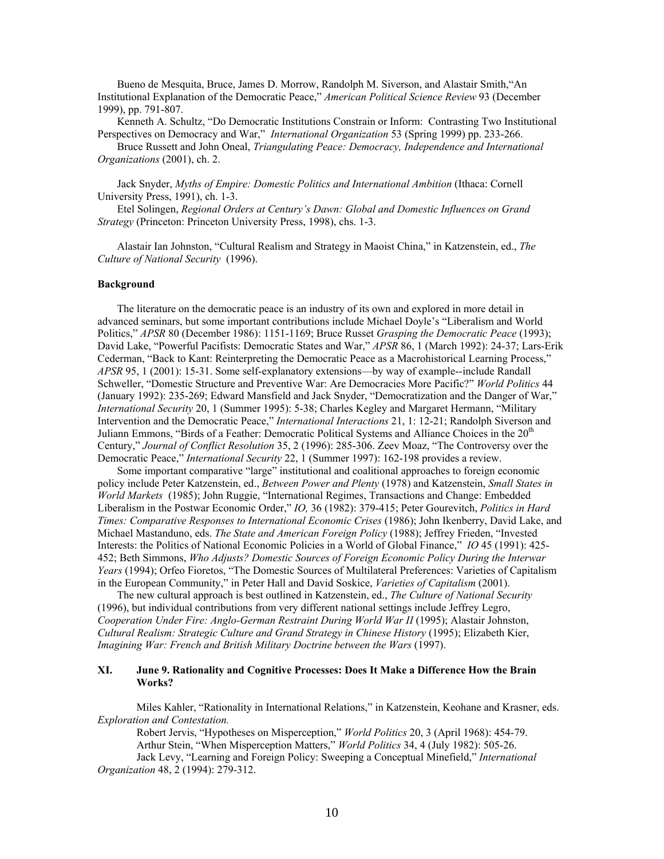Bueno de Mesquita, Bruce, James D. Morrow, Randolph M. Siverson, and Alastair Smith,"An Institutional Explanation of the Democratic Peace," *American Political Science Review* 93 (December 1999), pp. 791-807.

Kenneth A. Schultz, "Do Democratic Institutions Constrain or Inform: Contrasting Two Institutional Perspectives on Democracy and War," *International Organization* 53 (Spring 1999) pp. 233-266.

Bruce Russett and John Oneal, *Triangulating Peace: Democracy, Independence and International Organizations* (2001), ch. 2.

Jack Snyder, *Myths of Empire: Domestic Politics and International Ambition* (Ithaca: Cornell University Press, 1991), ch. 1-3.

Etel Solingen, *Regional Orders at Century's Dawn: Global and Domestic Influences on Grand Strategy* (Princeton: Princeton University Press, 1998), chs. 1-3.

Alastair Ian Johnston, "Cultural Realism and Strategy in Maoist China," in Katzenstein, ed., *The Culture of National Security* (1996).

### **Background**

The literature on the democratic peace is an industry of its own and explored in more detail in advanced seminars, but some important contributions include Michael Doyle's "Liberalism and World Politics," *APSR* 80 (December 1986): 1151-1169; Bruce Russet *Grasping the Democratic Peace* (1993); David Lake, "Powerful Pacifists: Democratic States and War," *APSR* 86, 1 (March 1992): 24-37; Lars-Erik Cederman, "Back to Kant: Reinterpreting the Democratic Peace as a Macrohistorical Learning Process," *APSR* 95, 1 (2001): 15-31. Some self-explanatory extensions—by way of example--include Randall Schweller, "Domestic Structure and Preventive War: Are Democracies More Pacific?" *World Politics* 44 (January 1992): 235-269; Edward Mansfield and Jack Snyder, "Democratization and the Danger of War," *International Security* 20, 1 (Summer 1995): 5-38; Charles Kegley and Margaret Hermann, "Military Intervention and the Democratic Peace," *International Interactions* 21, 1: 12-21; Randolph Siverson and Juliann Emmons, "Birds of a Feather: Democratic Political Systems and Alliance Choices in the  $20<sup>th</sup>$ Century," *Journal of Conflict Resolution* 35, 2 (1996): 285-306. Zeev Moaz, "The Controversy over the Democratic Peace," *International Security* 22, 1 (Summer 1997): 162-198 provides a review.

Some important comparative "large" institutional and coalitional approaches to foreign economic policy include Peter Katzenstein, ed., *Between Power and Plenty* (1978) and Katzenstein, *Small States in World Markets* (1985); John Ruggie, "International Regimes, Transactions and Change: Embedded Liberalism in the Postwar Economic Order," *IO,* 36 (1982): 379-415; Peter Gourevitch, *Politics in Hard Times: Comparative Responses to International Economic Crises* (1986); John Ikenberry, David Lake, and Michael Mastanduno, eds. *The State and American Foreign Policy* (1988); Jeffrey Frieden, "Invested Interests: the Politics of National Economic Policies in a World of Global Finance," *IO* 45 (1991): 425- 452; Beth Simmons, *Who Adjusts? Domestic Sources of Foreign Economic Policy During the Interwar Years* (1994); Orfeo Fioretos, "The Domestic Sources of Multilateral Preferences: Varieties of Capitalism in the European Community," in Peter Hall and David Soskice, *Varieties of Capitalism* (2001).

The new cultural approach is best outlined in Katzenstein, ed., *The Culture of National Security*  (1996), but individual contributions from very different national settings include Jeffrey Legro, *Cooperation Under Fire: Anglo-German Restraint During World War II* (1995); Alastair Johnston, *Cultural Realism: Strategic Culture and Grand Strategy in Chinese History* (1995); Elizabeth Kier, *Imagining War: French and British Military Doctrine between the Wars* (1997).

### **XI. June 9. Rationality and Cognitive Processes: Does It Make a Difference How the Brain Works?**

Miles Kahler, "Rationality in International Relations," in Katzenstein, Keohane and Krasner, eds. *Exploration and Contestation.* 

Robert Jervis, "Hypotheses on Misperception," *World Politics* 20, 3 (April 1968): 454-79. Arthur Stein, "When Misperception Matters," *World Politics* 34, 4 (July 1982): 505-26. Jack Levy, "Learning and Foreign Policy: Sweeping a Conceptual Minefield," *International Organization* 48, 2 (1994): 279-312.